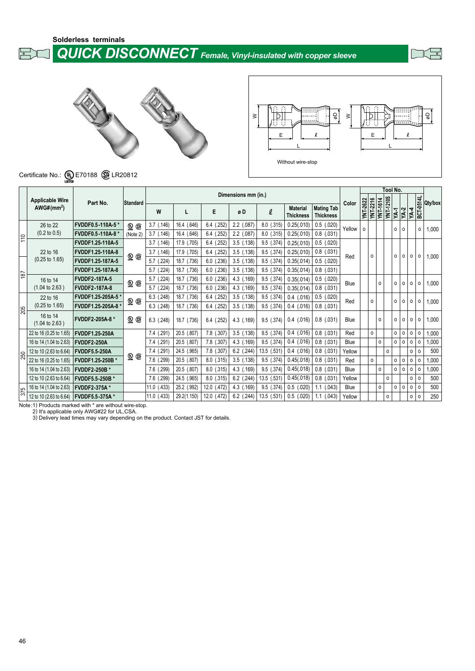**Solderless terminals**

 *QUICK DISCONNECT Female, Vinyl-insulated with copper sleeve*

 $\mathbb{F}$ 





# Certificate No.:  $\underbrace{\mathbf{\mathsf{U}}}_{\text{LSTED}}$  E70188  $\bigcirc$  LR20812

|                      |                                       |                         |                          |                 |                |                |                     |                |                                     |                                       |        |          |          |                                     | Tool No. |                     |                   |           |         |
|----------------------|---------------------------------------|-------------------------|--------------------------|-----------------|----------------|----------------|---------------------|----------------|-------------------------------------|---------------------------------------|--------|----------|----------|-------------------------------------|----------|---------------------|-------------------|-----------|---------|
|                      | <b>Applicable Wire</b>                |                         |                          |                 |                |                | Dimensions mm (in.) |                |                                     |                                       |        |          |          |                                     |          |                     |                   |           |         |
|                      | AWG#(mm <sup>2</sup> )                | Part No.                | <b>Standard</b>          | W               | L              | E              | øD                  | $\ell$         | <b>Material</b><br><b>Thickness</b> | <b>Mating Tab</b><br><b>Thickness</b> | Color  | YNT-2622 | YNT-2216 | <b>YNT-1210S</b><br><b>YNT-1614</b> | YA-1     | $YA-2$              | $\overline{YA-4}$ | BCT-0514L | Qty/box |
|                      | 26 to 22                              | FVDDF0.5-110A-5*        | $\mathbf{Q} \times$      | $3.7$ $(.146)$  | 16.4 (.646)    | $6.4$ $(.252)$ | $2.2$ (.087)        | 8.0 (.315)     | 0.25(.010)                          | $0.5$ $(.020)$                        | Yellow | 0        |          |                                     |          | 0<br>$\circ$        |                   | 0         | 1,000   |
| 110                  | $(0.2 \text{ to } 0.5)$               | FVDDF0.5-110A-8 *       | (Note 2)                 | $3.7$ $(.146)$  | 16.4 (.646)    | $6.4$ $(.252)$ | $2.2$ (.087)        | 8.0 (.315)     | 0.25(.010)                          | $0.8$ $(.031)$                        |        |          |          |                                     |          |                     |                   |           |         |
|                      |                                       | FVDDF1.25-110A-5        |                          | $3.7$ $(.146)$  | 17.9 (.705)    | $6.4$ (.252)   | $3.5$ (.138)        | 9.5 (.374)     | 0.25(.010)                          | $0.5$ (.020)                          |        |          |          |                                     |          |                     |                   |           |         |
|                      | 22 to 16                              | FVDDF1.25-110A-8        |                          | 3.7<br>(.146)   | 17.9 (.705)    | (.252)<br>6.4  | $3.5$ $(.138)$      | 9.5 (.374)     | 0.25(.010)                          | $0.8$ $(.031)$                        | Red    |          | $\Omega$ |                                     |          | 0<br>0              | 0                 | o         | 1,000   |
|                      | $(0.25 \text{ to } 1.65)$             | FVDDF1.25-187A-5        | $\mathbf{\mathbb{Q}}$ G  | (.224)<br>5.7   | 18.7<br>(.736) | (.236)<br>6.0  | $3.5$ $(.138)$      | $9.5$ $(.374)$ | 0.35(.014)                          | $0.5$ (.020)                          |        |          |          |                                     |          |                     |                   |           |         |
|                      |                                       | FVDDF1.25-187A-8        |                          | .224)<br>5.7    | 18.7<br>(.736) | (.236)<br>6.0  | $3.5$ $(.138)$      | 9.5 (.374)     | 0.35(.014)                          | $0.8$ $(.031)$                        |        |          |          |                                     |          |                     |                   |           |         |
| 187                  | 16 to 14                              | <b>FVDDF2-187A-5</b>    |                          | (.224)<br>5.7   | 18.7<br>(.736) | 6.0<br>(.236)  | 4.3 (.169)          | 9.5 (.374)     | 0.35(.014)                          | $0.5$ (.020)                          | Blue   |          |          |                                     |          |                     |                   |           |         |
|                      | $(1.04 \text{ to } 2.63)$             | <b>FVDDF2-187A-8</b>    | Q ®                      | $5.7$ $(.224)$  | 18.7<br>(.736) | 6.0<br>(.236)  | 4.3 (.169)          | $9.5$ (.374)   | 0.35(.014)                          | $0.8$ $(.031)$                        |        |          |          | $\circ$                             |          | $\circ$<br>$\circ$  | $\circ$           | 0         | 1,000   |
|                      | 22 to 16                              | <b>FVDDF1.25-205A-5</b> | $\mathbf{Q} \circledast$ | 6.3(<br>(.248)  | 18.7<br>(.736) | $6.4$ (.252)   | $3.5$ $(.138)$      | 9.5 (.374)     | $0.4$ (.016)                        | $0.5$ (.020)                          | Red    |          | 0        |                                     |          | 0<br>$\circ$        | $\circ$           | 0         |         |
| $\overline{\approx}$ | $(0.25 \text{ to } 1.65)$             | FVDDF1.25-205A-8 *      |                          | $6.3$ $(.248)$  | 18.7 (.736)    | 6.4 (.252)     | $3.5$ $(.138)$      | 9.5 (.374)     | $0.4$ (.016)                        | $0.8$ $(.031)$                        |        |          |          |                                     |          |                     |                   |           | 1,000   |
|                      | 16 to 14<br>$(1.04 \text{ to } 2.63)$ | FVDDF2-205A-8 *         | <b>@ ®</b>               | $6.3$ $(.248)$  | 18.7 (.736)    | $6.4$ $(.252)$ | 4.3 (.169)          | $9.5$ $(.374)$ | $0.4$ (.016)                        | $0.8$ $(.031)$                        | Blue   |          |          | 0                                   |          | $\circ$<br>$\Omega$ | 0                 | 0         | 1,000   |
|                      | 22 to 16 (0.25 to 1.65)               | <b>FVDDF1.25-250A</b>   |                          | 7.4 (.291)      | 20.5 (.807)    | 7.8 (.307)     | $3.5$ $(.138)$      | 9.5 (.374)     | $0.4$ (.016)                        | $0.8$ $(.031)$                        | Red    |          | $\circ$  |                                     |          | 0<br>0              | 0                 | 0         | 1,000   |
|                      | 16 to 14 (1.04 to 2.63)               | FVDDF2-250A             |                          | (.291)<br>7.4   | 20.5<br>(.807) | 7.8<br>(.307)  | 4.3 (.169)          | 9.5 (.374)     | $0.4$ (.016)                        | $0.8$ $(.031)$                        | Blue   |          |          | $\circ$                             |          | 0<br>0              | 0                 | $\circ$   | 1,000   |
| ន្ត្រ                | 12 to 10 (2.63 to 6.64)               | FVDDF5.5-250A           |                          | (.291)<br>7.4   | 24.5<br>(.965) | 7.8<br>(.307)  | $6.2$ (.244)        | 13.5 (.531)    | $0.4$ (.016)                        | $0.8$ (.031)                          | Yellow |          |          |                                     | 0        |                     | $\circ$           | $\circ$   | 500     |
|                      | 22 to 16 (0.25 to 1.65)               | FVDDF1.25-250B *        | 9 G                      | 7.6 (.299)      | 20.5 (.807)    | 8.0<br>(.315)  | $3.5$ $(.138)$      | 9.5 (.374)     | 0.45(.018)                          | $0.8$ $(.031)$                        | Red    |          | $\circ$  |                                     |          | $\mathsf{o}\,$<br>0 | 0                 | $\circ$   | 1,000   |
|                      | 16 to 14 (1.04 to 2.63)               | <b>FVDDF2-250B*</b>     |                          | 7.6 (.299)      | 20.5 (.807)    | $8.0$ $(.315)$ | 4.3 (.169)          | 9.5 (.374)     | 0.45(.018)                          | $0.8$ $(.031)$                        | Blue   |          |          | 0                                   |          | 0<br>0              | 0                 | 0         | 1,000   |
|                      | 12 to 10 (2.63 to 6.64)               | <b>FVDDF5.5-250B*</b>   |                          | 7.6 (.299)      | 24.5 (.965)    | 8.0<br>(.315)  | $6.2$ (.244)        | 13.5 (.531     | 0.45(.018)                          | $0.8$ (.031)                          | Yellow |          |          |                                     | $\circ$  |                     | 0                 | 0         | 500     |
| $\frac{375}{5}$      | 16 to 14 (1.04 to 2.63)               | <b>FVDDF2-375A*</b>     |                          | $11.0$ $(.433)$ | 25.2 (.992)    | 12.0 (.472)    | 4.3 (.169)          | $9.5$ $(.374)$ | $0.5$ (.020)                        | $1.1$ (.043)                          | Blue   |          |          | 0                                   |          | 0<br>0              | 0                 | 0         | 500     |
|                      | 12 to 10 (2.63 to 6.64)               | FVDDF5.5-375A*          |                          | $11.0$ (.433)   | 29.2(1.150)    | 12.0 (.472)    | $6.2$ (.244)        | 13.5 (.531     | $0.5$ (.020)                        | $1.1$ (.043)                          | Yellow |          |          | $\circ$                             |          |                     | $\circ$           | 0         | 250     |

Note:1) Products marked with \* are without wire-stop. 2) It's applicable only AWG#22 for UL,CSA. 3) Delivery lead times may vary depending on the product. Contact JST for details.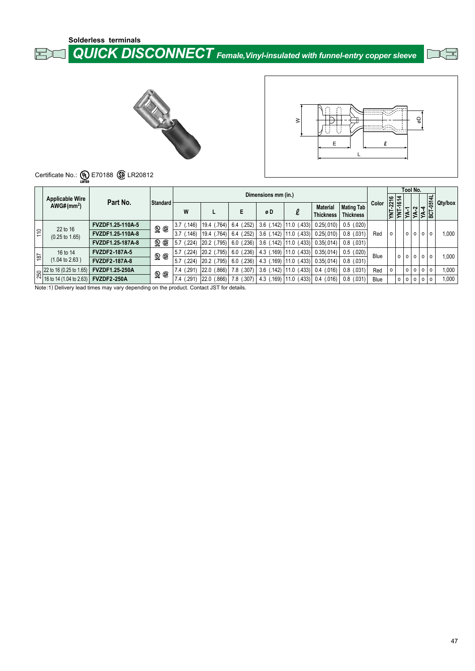**Solderless terminals**

#### 희

 *QUICK DISCONNECT Female,Vinyl-insulated with funnel-entry copper sleeve*

飞马





# Certificate No.:  $\underbrace{\mathbf{\mathsf{U}}}_{\text{LSTED}}$  E70188  $\underbrace{\mathbf{\mathsf{\mathsf{\mathsf{S}}}}}_{\text{LR20812}}$

|                 | <b>Applicable Wire</b>                                                                        |                         |                                               |                           |                |                            | Dimensions mm (in.) |                |                                     |                                |       | $\frac{276}{1614}$  |         | Tool No.           |         | $\Rightarrow$          |         |
|-----------------|-----------------------------------------------------------------------------------------------|-------------------------|-----------------------------------------------|---------------------------|----------------|----------------------------|---------------------|----------------|-------------------------------------|--------------------------------|-------|---------------------|---------|--------------------|---------|------------------------|---------|
|                 | AWG#(mm <sup>2</sup> )                                                                        | Part No.                | Standard                                      | W                         |                | Е                          | øD                  | $\ell$         | <b>Material</b><br><b>Thickness</b> | Mating Tab<br><b>Thickness</b> | Color | <b>YNT-</b><br>YNT- |         | ີ                  |         | $\frac{YA-4}{BCT-051}$ | Qty/box |
|                 | 22 to 16                                                                                      | <b>FVZDF1.25-110A-5</b> | <b>QQ</b>                                     | (146)<br>3.7              | 19.4 (.764)    | (.252)<br>6.4              | $3.6$ (.142)        | $11.0$ (.433)  | 0.25(.010)                          | $0.5$ (.020)                   |       |                     |         |                    |         |                        |         |
| $\frac{1}{2}$   | $(0.25 \text{ to } 1.65)$                                                                     | FVZDF1.25-110A-8        |                                               | 3.7<br>.146               | (.764)<br>19.4 | (.252)<br>6.4              | $3.6$ (.142)        | (.433)<br>11.0 | 0.25(.010)                          | $0.8$ (.031)                   | Red   | $\Omega$            |         | 0<br>$\circ$       | $\circ$ | $\circ$                | 1.000   |
|                 |                                                                                               | FVZDF1.25-187A-8        | 9 Q                                           | .224<br>5.7               | 20.2 (.795)    | $6.0$ (.236)               | $3.6$ (.142)        | $11.0$ (.433)  | 0.35(.014)                          | $0.8$ $(.031)$                 |       |                     |         |                    |         |                        |         |
|                 | 16 to 14                                                                                      | <b>FVZDF2-187A-5</b>    | $\mathbf{Q} \circledast$                      | .224)<br>5.7              | 20.2 (.795)    | (.236)<br>6.0              | 4.3 (.169)          | (.433)<br>11.0 | 0.35(.014)                          | $0.5$ (.020)                   | Blue  |                     | $\circ$ | $^{\circ}$         | 0 0     | $\circ$                |         |
| $\frac{187}{2}$ | $(1.04 \text{ to } 2.63)$                                                                     | <b>FVZDF2-187A-8</b>    |                                               | 5.7<br>.224)              | 20.2 (.795)    | $6.0$ $(.236)$             | $4.3$ (.169)        | $11.0$ (.433)  | 0.35(.014)                          | $0.8$ $(.031)$                 |       |                     |         |                    |         |                        | 1,000   |
|                 | $\frac{22 \text{ to } 16 (0.25 \text{ to } 1.65)}{16 \text{ to } 14 (1.04 \text{ to } 2.63)}$ | <b>FVZDF1.25-250A</b>   | $\mathop{\circledast}$ $\mathop{\circledast}$ | (291)<br>7.4 <sub>0</sub> | (.866)<br>22.0 | 7.8 (.307)                 | $3.6$ (.142)        | (.433)<br>11.0 | $0.4$ (.016)                        | $0.8$ $(.031)$                 | Red   | 0                   |         | 0<br>$\circ$       | l o     | $\circ$                | 1.000   |
|                 |                                                                                               | <b>FVZDF2-250A</b>      |                                               | 291<br>7.4                | 22.0<br>(.866) | (.307)<br>7.8 <sub>0</sub> | 4.3 (.169)          | (.433)<br>11.0 | $0.4$ (.016)                        | $0.8$ $(.031)$                 | Blue  |                     | $\circ$ | $\circ$<br>$\circ$ | $\circ$ | $\Omega$               | 1,000   |

Note:1) Delivery lead times may vary depending on the product. Contact JST for details.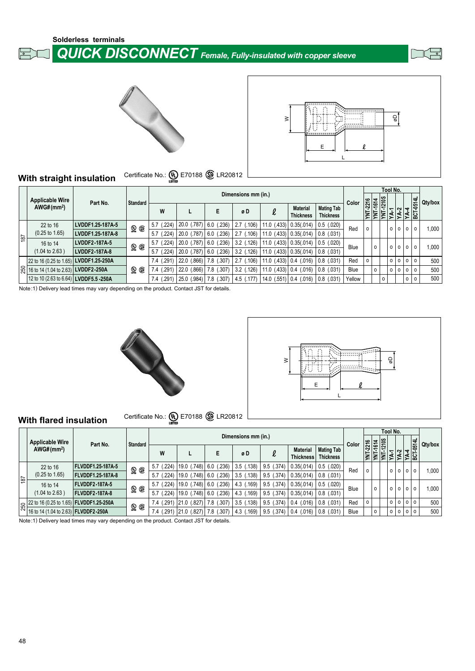







#### **With straight insulation** Certificate No.: (W) E70188 (S) LR20812

|                 |                                        |                  |                          |                     |                |                           |                     |                             |                                     |                                       |        |                 |                   |          | Tool No.                                   |         |         |         |
|-----------------|----------------------------------------|------------------|--------------------------|---------------------|----------------|---------------------------|---------------------|-----------------------------|-------------------------------------|---------------------------------------|--------|-----------------|-------------------|----------|--------------------------------------------|---------|---------|---------|
|                 | <b>Applicable Wire</b>                 | Part No.         | Standard                 |                     |                |                           | Dimensions mm (in.) |                             |                                     |                                       | Color  | $\frac{216}{5}$ | 10S<br>¦⊿.        |          |                                            |         |         | Qty/box |
|                 | AWG#(mm <sup>2</sup> )                 |                  |                          | W                   |                |                           | øD                  |                             | <b>Material</b><br><b>Thickness</b> | <b>Mating Tab</b><br><b>Thickness</b> |        |                 | $\circ$<br>Ń<br>Ĕ |          | $\frac{YA-1}{YA-2}$<br>$\frac{YA-2}{YA-4}$ |         |         |         |
|                 | 22 to 16                               | LVDDF1.25-187A-5 | $\mathbf{Q} \circledast$ | .224<br>5.7         | 20.0 (.787)    | (236)<br>6.0 <sub>0</sub> | .106)<br>2.7        | (.433)<br>11.0 <sub>l</sub> | 0.35(.014)                          | $0.5$ (.020)                          | Red    | $\circ$         |                   | $\Omega$ | $\circ$                                    |         | $\circ$ | 1,000   |
| $\frac{181}{2}$ | $(0.25 \text{ to } 1.65)$              | LVDDF1.25-187A-8 |                          | .224<br>5.7         | (.787)<br>20.0 | (236)<br>6.0 <sub>0</sub> | .106)<br>2.7        | $11.0$ i.                   | $(.433)$ 0.35 $(.014)$              | $0.8$ $(.031)$                        |        |                 |                   |          |                                            | $\circ$ |         |         |
|                 | 16 to 14                               | LVDDF2-187A-5    | <b>@ @</b>               | (.224)<br>5.7       | 20.0 (.787)    | (236)<br>6.0 <sub>0</sub> | $3.2$ $(.126)$      | (.433)<br>11.0 <sub>l</sub> | 0.35(.014)                          | $0.5$ (.020)                          | Blue   |                 | $\circ$           | $\circ$  | $\circ$                                    | $\circ$ | $\circ$ | 1,000   |
|                 | $(1.04 \text{ to } 2.63)$              | LVDDF2-187A-8    |                          | .224<br>5.7         | (.787)<br>20.0 | (236)<br>6.0 <sub>0</sub> | $3.2$ (.126)        | $11.0$ (                    | $(.433)$ 0.35 $(.014)$              | $0.8$ $(.031)$                        |        |                 |                   |          |                                            |         |         |         |
|                 | 22 to 16 (0.25 to 1.65) LVDDF1.25-250A |                  |                          | (.291<br>7.4        | 22.0<br>(.866) | (.307)<br>7.8             | .106)<br>2.7        | $11.0$ (.433) 0.4 (.016)    |                                     | $0.8$ (.031)                          | Red    | $\Omega$        |                   | $\circ$  | $\circ$                                    | $\circ$ | $\circ$ | 500     |
|                 | ☆ 16 to 14 (1.04 to 2.63) LVDDF2-250A  |                  | $\mathfrak{D} \oplus$    | .291<br><i>(.</i> 4 | 22.0<br>(.866) | .307<br>7.8               | $3.2$ (.126)        | 11.0                        | $(.433)$ 0.4 $(.016)$               | $0.8$ $(.031)$                        | Blue   |                 | $\circ$           | $\circ$  | $\circ$                                    | $\circ$ | $\circ$ | 500     |
|                 | 12 to 10 (2.63 to 6.64) LVDDF5.5 -250A |                  |                          | (.291<br>7.4        | (.984)<br>25.0 | (0.307)<br>7.8            | 4.5 (.177)          | $14.0$ (.551) 0.4 (.016)    |                                     | $0.8$ (.031)                          | Yellow |                 | 0                 |          |                                            | $\circ$ | $\circ$ | 500     |

Note:1) Delivery lead times may vary depending on the product. Contact JST for details.





#### **With flared insulation** Certificate No.: **(0)** E70188 **B** LR20812

|                |                                      |                                                                                                                  |                          |               |                 |                            |                     |                |                                     |                                       |       |          |                      | Tool No. |                                  |     |         |
|----------------|--------------------------------------|------------------------------------------------------------------------------------------------------------------|--------------------------|---------------|-----------------|----------------------------|---------------------|----------------|-------------------------------------|---------------------------------------|-------|----------|----------------------|----------|----------------------------------|-----|---------|
|                | <b>Applicable Wire</b>               | Part No.                                                                                                         | <b>Standard</b>          |               |                 |                            | Dimensions mm (in.) |                |                                     |                                       | Color |          | $\frac{1614}{12105}$ |          |                                  |     | Qty/box |
|                | AWG#(mm <sup>2</sup> )               |                                                                                                                  |                          | W             |                 | E                          | øD                  |                | <b>Material</b><br><b>Thickness</b> | <b>Mating Tab</b><br><b>Thickness</b> |       | YNT-2216 | Ι₹                   |          | <b>YA-2</b><br>YA-4<br>BCT-0514L |     |         |
|                | 22 to 16                             | <b>FLVDDF1.25-187A-5</b>                                                                                         | <b>@ @</b>               | (.224)<br>5.7 | (.748)<br>19.0  | (236)<br>6.0               | (.138)<br>3.5(      | (.374)<br>9.5  | 0.35(.014)                          | $0.5$ (.020)                          | Red   | o        |                      | $\circ$  | $\circ$<br>$\circ$               | l o | 1,000   |
| $\frac{18}{2}$ | $(0.25 \text{ to } 1.65)$            | <b>FLVDDF1.25-187A-8</b>                                                                                         |                          | (.224)<br>5.7 | 19.0 (.748)     | (.236)<br>6.0 <sub>0</sub> | $3.5$ $(.138)$      | $9.5$ (.374)   | 0.35(.014)                          | $0.8$ $(.031)$                        |       |          |                      |          |                                  |     |         |
|                | 16 to 14                             | <b>FLVDDF2-187A-5</b>                                                                                            |                          | 224<br>5.7    | 19.0 (.748)     | (236)<br>6.0               | (.169)<br>4.3(      | $9.5$ (.374)   | 0.35(.014)                          | $0.5$ (.020)                          | Blue  | $\circ$  |                      | $\circ$  | $\circ$<br>$\Omega$              | 0 l | 1,000   |
|                | $(1.04 \text{ to } 2.63)$            | FLVDDF2-187A-8                                                                                                   | $\mathbf{Q} \circledast$ | .224<br>5.7   | .748<br>19.0    | (236)<br>6.0               | .169<br>4.3(        | $9.5$ (.374)   | 0.35(.014)                          | $0.8$ $(.031)$                        |       |          |                      |          |                                  |     |         |
|                |                                      | $\frac{22 \text{ to } 16 (0.25 \text{ to } 1.65)}{16 \text{ to } 1.64 \times 10^{-4} \text{ C}}$ FLVDDF1.25-250A |                          | $7.4$ (.291)  | (.827)<br> 21.0 | (.307)<br>1.8 (            | $3.5$ $(.138)$      | $9.5$ $(.374)$ | $0.4$ (.016)                        | 0.8 (0.031)                           | Red   | ٥        |                      | 0 0 0 0  |                                  |     | 500     |
|                | 16 to 14 (1.04 to 2.63) FLVDDF2-250A |                                                                                                                  | $\mathbf{Q} \circledast$ | .291<br>7.4   | (.827)<br> 21.0 | (.307)<br>7.8 <sub>1</sub> | .169<br>4.3(        | $9.5$ $(.374)$ | $0.4$ (.016)                        | $ 0.8 \rangle (0.31)$                 | Blue  | O        |                      | $\circ$  | $\circ$                          | 0 0 | 500     |

Note:1) Delivery lead times may vary depending on the product. Contact JST for details.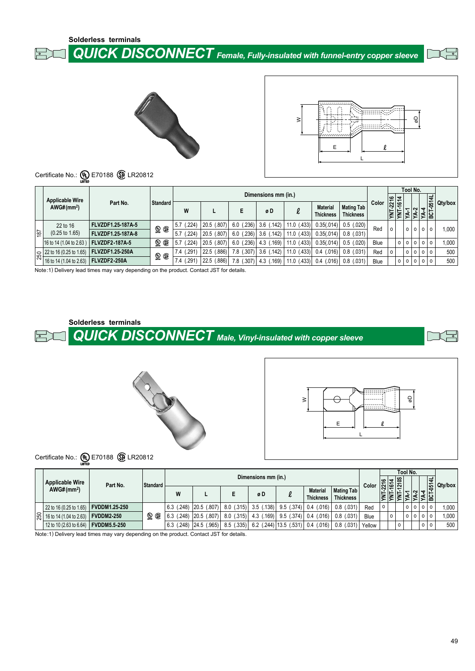**Solderless terminals**

 *QUICK DISCONNECT Female, Fully-insulated with funnel-entry copper sleeve*





|   | 5 |
|---|---|
| E |   |
|   |   |

# Certificate No.:  $\underbrace{\mathbb{Q}}$  E70188  $\underbrace{\mathbb{Q}}$  LR20812

|                 | <b>Applicable Wire</b>                                                                        |                          |                          |                |                 |               | Dimensions mm (in.) |                  |                                     |                                       |       | $\frac{16}{15}$ |         | Tool No. |   | $\vec{v}$  |         |
|-----------------|-----------------------------------------------------------------------------------------------|--------------------------|--------------------------|----------------|-----------------|---------------|---------------------|------------------|-------------------------------------|---------------------------------------|-------|-----------------|---------|----------|---|------------|---------|
|                 | AWG#(mm <sup>2</sup> )                                                                        | Part No.                 | Standard                 | W              |                 | E             | øD                  | $\ell$           | <b>Material</b><br><b>Thickness</b> | <b>Mating Tab</b><br><b>Thickness</b> | Color |                 |         |          | ᆉ | ន្ទ្រ<br>힒 | Qty/box |
|                 | 22 to 16                                                                                      | FLVZDF1.25-187A-5        | <b>QQ</b>                | (.224)<br>5.7  | (0.807)<br>20.5 | (.236)<br>6.0 | (.142)<br>3.6       | $11.0$ (.433)    | 0.35(.014)                          | $0.5$ (.020)                          | Red   | $\Omega$        |         | 0 0 0    |   | $\Omega$   | 1.000   |
| $\frac{187}{2}$ | $(0.25 \text{ to } 1.65)$                                                                     | <b>FLVZDF1.25-187A-8</b> |                          | .224<br>5.7    | (.807)<br>20.5  | (.236)<br>6.0 | $3.6$ (.142)        | (.433)<br>11.0   | 0.35(.014)                          | $0.8$ $(.031)$                        |       |                 |         |          |   |            |         |
|                 | 16 to 14 (1.04 to 2.63)                                                                       | <b>FLVZDF2-187A-5</b>    | ួ<br>⊕                   | (224)<br>5.7   | (.807)<br>20.5  | (.236)<br>6.0 | $4.3$ $(.169)$      | $11.0$ (.433)    | 0.35(.014)                          | (.020)<br>0.5                         | Blue  |                 | $\circ$ | 0 0 0    |   | $\Omega$   | 1,000   |
|                 | $\frac{22 \text{ to } 16 (0.25 \text{ to } 1.65)}{46 \text{ to } 44 (4.04 \text{ to } 2.63)}$ | <b>FLVZDF1.25-250A</b>   | $\mathbf{Q} \circledast$ | (291)<br>ا 7.4 | 22.5<br>(.886)  | (.307)<br>7.8 | $3.6$ (.142)        | $11.0$ (.433)    | $0.4$ (.016)                        | $0.8$ $(.031)$                        | Red   | $\circ$         |         | 0 0 0    |   | $\circ$    | 500     |
|                 | 16 to 14 (1.04 to 2.63)                                                                       | FLVZDF2-250A             |                          | 291<br>7.4     | (.886)<br>22.5  | (.307)<br>7.8 | (.169)<br>4.3       | (.433)<br>11.0 ( | $0.4$ (.016)                        | $0.8$ $(.031)$                        | Blue  |                 | $\circ$ |          |   | $\circ$    | 500     |

Note:1) Delivery lead times may vary depending on the product. Contact JST for details.

**Solderless terminals**

 *QUICK DISCONNECT Male, Vinyl-insulated with copper sleeve*







Certificate No.:  $\underbrace{\mathsf{(U)}}_{\mathsf{LSTED}}$  E70188  $\bigcirc$  LR20812

|                 | <b>Applicable Wire</b>                       | Part No.            | Standard                 |   |                          |              | Dimensions mm (in.)      |                                    |                              |                                | Color  | $\circ$ | ⊧∣″<br>₹ | Tool No. |                | $\overline{a}$ |           |
|-----------------|----------------------------------------------|---------------------|--------------------------|---|--------------------------|--------------|--------------------------|------------------------------------|------------------------------|--------------------------------|--------|---------|----------|----------|----------------|----------------|-----------|
|                 | AWG#(mm <sup>2</sup> )                       |                     |                          | W |                          |              | øD                       |                                    | <b>Material</b><br>Thickness | Mating Tab<br><b>Thickness</b> |        |         |          |          |                |                | 동 Qty/box |
|                 | 22 to 16 (0.25 to 1.65) <b>FVDDM1.25-250</b> |                     |                          |   | 6.3 (.248)   20.5 (.807) |              |                          | $8.0$ (.315) 3.5 (.138) 9.5 (.374) | $0.4$ (.016)                 | $0.8$ $(.031)$                 | Red    | $\circ$ |          | 0 0      | 0 <sup>0</sup> |                | 1.000     |
| $\overline{30}$ | 16 to 14 (1.04 to 2.63) <b>FVDDM2-250</b>    |                     | $\mathbf{Q} \circledast$ |   | $6.3$ (.248) 20.5 (.807) | $8.0$ (.315) |                          | $4.3$ (.169)   9.5 (.374)          | $0.4$ (.016)                 | 0.8 (0.031)                    | Blue   |         | 0        | 0 0      | 0 <sup>0</sup> |                | 1.000     |
|                 | 12 to 10 (2.63 to 6.64)                      | <b>FVDDM5.5-250</b> |                          |   | 6.3 (.248)   24.5 (.965) | 8.5(.335)    | $6.2$ (.244) 13.5 (.531) |                                    | $0.4$ (.016)                 | $0.8$ $(.031)$                 | Yellow |         | 0        |          | 0 0            |                | 500       |

Note:1) Delivery lead times may vary depending on the product. Contact JST for details.